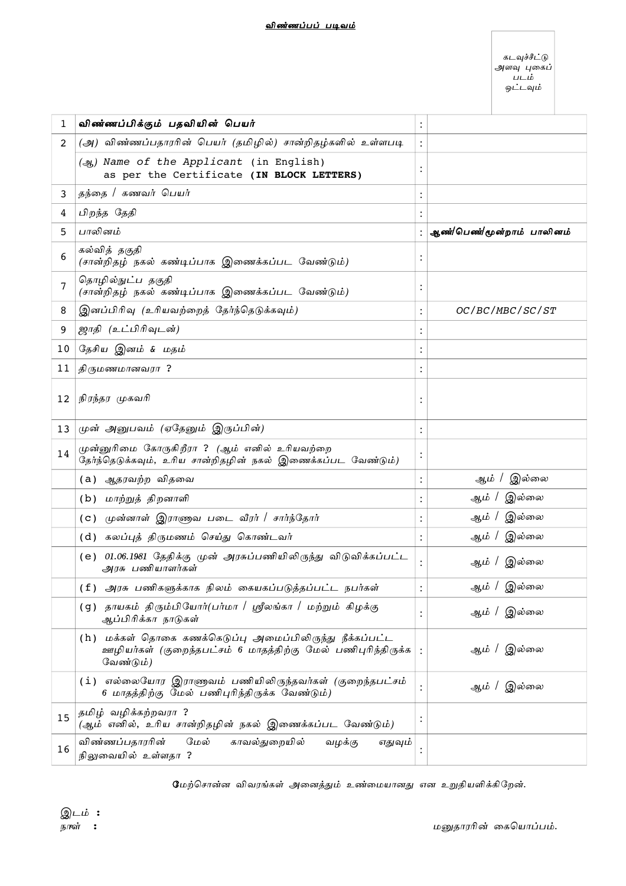#### <u>விண்ணப்பப் படிவம்</u>

கடவுச்சீட்டு அளவு புகைப் படம் ஒட்டவும்

| 1  | விண்ணப்பிக்கும் பதவியின் பெயர்                                                                                                        | :              |                           |
|----|---------------------------------------------------------------------------------------------------------------------------------------|----------------|---------------------------|
| 2  | (அ) விண்ணப்பதாரரின் பெயர் (தமிழில்) சான்றிதழ்களில் உள்ளபடி                                                                            |                |                           |
|    | (ஆ) Name of the Applicant (in English)<br>as per the Certificate (IN BLOCK LETTERS)                                                   |                |                           |
| 3  | தந்தை / கணவர் பெயர்                                                                                                                   |                |                           |
| 4  | பிறந்த தேதி                                                                                                                           |                |                           |
| 5  | பாலினம்                                                                                                                               |                | ஆண்/பெண்/மூன்றாம் பாலினம் |
| 6  | கல்வித் தகுதி<br>(சான்றிதழ் நகல் கண்டிப்பாக இணைக்கப்பட வேண்டும்)                                                                      |                |                           |
| 7  | தொழில்நுட்ப தகுதி<br>(சான்றிதழ் நகல் கண்டிப்பாக இணைக்கப்பட வேண்டும்)                                                                  |                |                           |
| 8  | இனப்பிரிவு (உரியவற்றைத் தேர்ந்தெடுக்கவும்)                                                                                            |                | OC/BC/MBC/SC/ST           |
| 9  | ஜாதி (உட்பிரிவுடன்)                                                                                                                   |                |                           |
| 10 | தேசிய இனம் & மதம்                                                                                                                     |                |                           |
| 11 | திருமணமானவரா ?                                                                                                                        |                |                           |
| 12 | நிரந்தர முகவரி                                                                                                                        |                |                           |
| 13 | முன் அனுபவம் (ஏதேனும் இருப்பின்)                                                                                                      |                |                           |
| 14 | முன்னுரிமை கோருகிறீரா ? (ஆம் எனில் உரியவற்றை<br>தேர்ந்தெடுக்கவும், உரிய சான்றிதழின் நகல் இணைக்கப்பட வேண்டும்)                         |                |                           |
|    | (a) ஆதரவற்ற விதவை                                                                                                                     |                | இல்லை<br>ஆம் /            |
|    | (b) மாற்றுத் திறனாளி                                                                                                                  |                | ஆம் / இல்லை               |
|    | (c) முன்னாள் இராணுவ படை வீரர் / சார்ந்தோர்                                                                                            |                | ஆம் / இல்லை               |
|    | (d) கலப்புத் திருமணம் செய்து கொண்டவர்                                                                                                 |                | ஆம் / இல்லை               |
|    | (e) 01.06.1981 தேதிக்கு முன் அரசுப்பணியிலிருந்து விடுவிக்கப்பட்ட<br>அரசு பணியாளர்கள்                                                  |                | ஆம் / இல்லை               |
|    | (f) அரசு பணிகளுக்காக நிலம் கையகப்படுத்தப்பட்ட நபர்கள்                                                                                 | $\bullet$      | ஆம் / இல்லை               |
|    | (g) தாயகம் திரும்பியோர்(பர்மா / ஸ்ரீலங்கா / மற்றும் கிழக்கு<br>ஆப்பிரிக்கா நாடுகள்                                                    |                | ஆம் / இல்லை               |
|    | (h) மக்கள் தொகை கணக்கெடுப்பு அமைப்பிலிருந்து நீக்கப்பட்ட<br>ஊழியர்கள் (குறைந்தபட்சம் 6 மாதத்திற்கு மேல் பணிபுரிந்திருக்க<br>வேண்டும்) |                | ஆம் / இல்லை               |
|    | (i) எல்லையோர இராணுவம் பணியிலிருந்தவர்கள் (குறைந்தபட்சம்<br>6 மாதத்திற்கு மேல் பணிபுரிந்திருக்க வேண்டும்)                              |                | ஆம் / இல்லை               |
| 15 | தமிழ் வழிக்கற்றவரா ?<br>(ஆம் எனில், உரிய சான்றிதழின் நகல் இணைக்கப்பட வேண்டும்)                                                        | $\ddot{\cdot}$ |                           |
| 16 | விண்ணப்பதாரரின்<br>மேல்<br>காவல்துறையில்<br>வழக்கு<br>எதுவும்<br>நிலுவையில் உள்ளதா ?                                                  |                |                           |

மேற்சொன்ன விவரங்கள் அனைத்தும் உண்மையானது என உறுதியளிக்கிறேன்.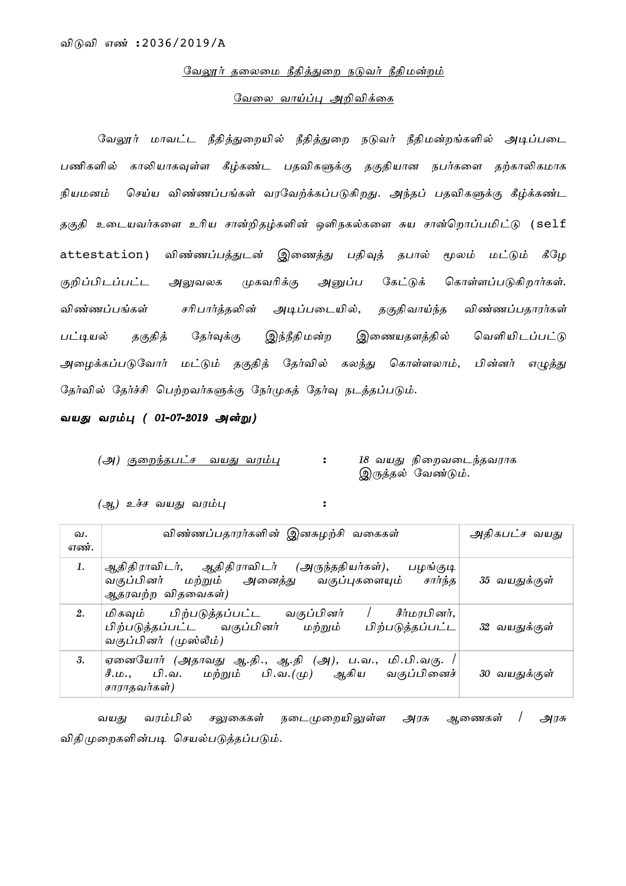#### <u>வேலூர் தலைமை நீதித்துறை நடுவர் நீதிமன்றம்</u>

### வேலை வாய்ப்பு அறிவிக்கை

வேலூர் மாவட்ட நீதித்துறையில் நீதித்துறை நடுவர் நீதிமன்றங்களில் அடிப்படை பணிகளில் காலியாகவுள்ள கீழ்கண்ட பதவிகளுக்கு தகுதியான நபர்களை தற்காலிகமாக நியமனம் செய்ய விண்ணப்பங்கள் வரவேற்க்கப்படுகிறது. அந்தப் பதவிகளுக்கு கீழ்க்கண்ட தகுதி உடையவர்களை உரிய சான்றிதழ்களின் ஒளிநகல்களை சுய சான்றொப்பமிட்டு (self attestation) விண்ணப்பத்துடன் இணைத்து பதிவுத் தபால் மூலம் மட்டும் கீழே குறிப்பிடப்பட்ட அலுவலக முகவரிக்கு அனுப்ப கேட்டுக் கொள்ளப்படுகிறார்கள். விண்ணப்பங்கள் சரிபார்த்தலின் அடிப்படையில், தகுதிவாய்ந்த விண்ணப்பதாரர்கள் பட்டியல் தகுதித் தேர்வுக்கு இந்நீதிமன்ற இணையதளத்தில் வெளியிடப்பட்டு அழைக்கப்படுவோர் மட்டும் தகுதித் தேர்வில் கலந்து கொள்ளலாம், பின்னர் எழுத்து தேர்வில் தேர்ச்சி பெற்றவர்களுக்கு நேர்முகத் தேர்வு நடத்தப்படும்.

வயது வரம்பு ( 01-07-2019 அன்று)

(அ) <u>குறைந்தபட்ச வயது வரம்பு</u> : 18 வயது நிறைவடைந்தவராக இருத்தல் வேண்டும்.

 $(\partial x)$  உச்ச வயது வரம்பு $\cdot$ 

| வ.<br>எண். | விண்ணப்பதாரர்களின் இனசுழற்சி வகைகள்                                                                                                              | அதிகபட்ச வயது |
|------------|--------------------------------------------------------------------------------------------------------------------------------------------------|---------------|
| 1.         | ஆதிதிராவிடர், ஆதிதிராவிடர் (அருந்ததியர்கள்), பழங்குடி<br>வகுப்பினர் மற்றும் அனைத்து வகுப்புகளையும் சார்ந்த<br>ஆதரவற்ற விதவைகள்)                  | 35 வயதுக்குள் |
| 2.         | சீர்மரபினர்,<br>பிற்படுத்தப்பட்ட<br>வகுப்பினர்<br>மிகவும்<br>பிற்படுத்தப்பட்ட<br>பிற்படுத்தப்பட்ட வகுப்பினர்<br>மற்றும்<br>வகுப்பினர் (முஸ்லீம்) | 32 வயதுக்குள் |
| 3.         | ஏனையோர் (அதாவது ஆ.தி., ஆ.தி (அ), ப.வ., மி.பி.வகு.<br>சீ.ம., பி.வ. மற்றும் பி.வ.(மு) ஆகிய<br>வகுப்பினைச்<br>சாராதவர்கள்)                          | 30 வயதுக்குள் |

வயது வரம்பில் சலுகைகள் நடைமுறையிலுள்ள அரசு ஆணைகள் / அரசு விதிமுறைகளின்படி செயல்படுத்தப்படும்.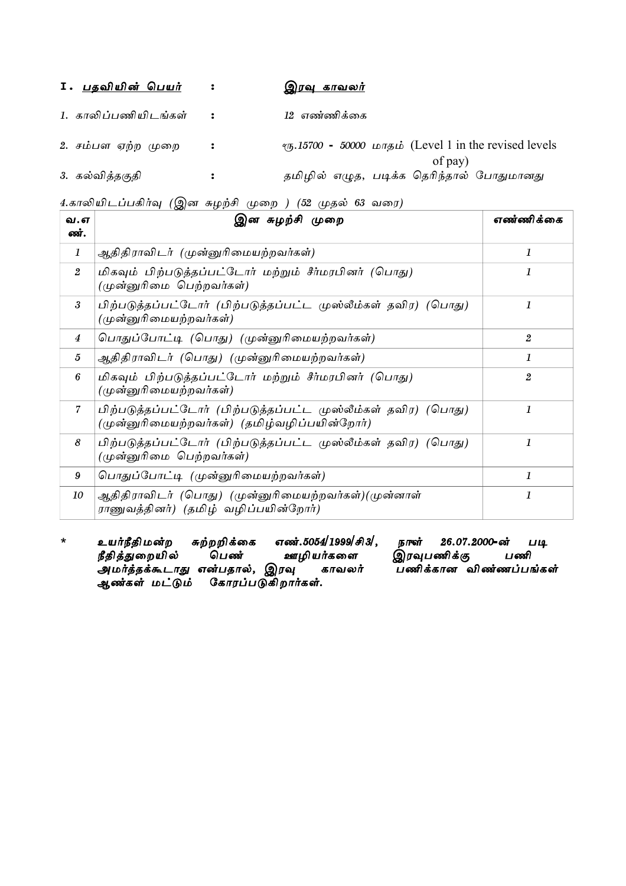| 1. <u>பதவியின் பெயர்</u> |                      | <u>இரவு காவலர்</u>                                                                 |
|--------------------------|----------------------|------------------------------------------------------------------------------------|
| 1. காலிப்பணியிடங்கள்     | $\mathbf{r}$         | 12 எண்ணிக்கை                                                                       |
| 2. சம்பள ஏற்ற முறை       | $\ddot{\cdot}$       | $\tau$ <sub>5</sub> .15700 - 50000 шлуді (Level 1 in the revised levels<br>of pay) |
| 3. கல்வித்தகுதி          | $\ddot{\phantom{a}}$ | தமிழில் எழுத, படிக்க தெரிந்தால் போதுமானது                                          |

4.காலியிடப்பகிர்வு (இன சுழற்சி முறை ) (52 முதல் 63 வரை)

| வ. எ<br>ண்.      | இன சுழற்சி முறை                                                                                                | எண்ணிக்கை        |
|------------------|----------------------------------------------------------------------------------------------------------------|------------------|
| 1                | ஆதிதிராவிடர் (முன்னுரிமையற்றவர்கள்)                                                                            | 1                |
| $\overline{2}$   | மிகவும் பிற்படுத்தப்பட்டோர் மற்றும் சீர்மரபினர் (பொது)<br>(முன்னுரிமை பெற்றவர்கள்)                             | 1                |
| 3                | பிற்படுத்தப்பட்டோர் (பிற்படுத்தப்பட்ட முஸ்லீம்கள் தவிர) (பொது)<br>(முன்னுரிமையற்றவர்கள்)                       | 1                |
| 4                | பொதுப்போட்டி (பொது) (முன்னுரிமையற்றவர்கள்)                                                                     | $\boldsymbol{2}$ |
| 5                | ஆதிதிராவிடர் (பொது) (முன்னுரிமையற்றவர்கள்)                                                                     | 1                |
| 6                | மிகவும் பிற்படுத்தப்பட்டோர் மற்றும் சீர்மரபினர் (பொது)<br>(முன்னுரிமையற்றவர்கள்)                               | $\overline{2}$   |
| $\overline{7}$   | பிற்படுத்தப்பட்டோர் (பிற்படுத்தப்பட்ட முஸ்லீம்கள் தவிர) (பொது)<br>(முன்னுரிமையற்றவர்கள்) (தமிழ்வழிப்பயின்றோர்) | 1                |
| 8                | பிற்படுத்தப்பட்டோர் (பிற்படுத்தப்பட்ட முஸ்லீம்கள் தவிர) (பொது)<br>(முன்னுரிமை பெற்றவர்கள்)                     | 1                |
| $\boldsymbol{9}$ | பொதுப்போட்டி (முன்னுரிமையற்றவர்கள்)                                                                            | 1                |
| 10               | ஆதிதிராவிடர் (பொது) (முன்னுரிமையற்றவர்கள்)(முன்னாள்<br>ராணுவத்தினர்) (தமிழ் வழிப்பயின்றோர்)                    | 1                |

\* உயர்நீதிமன்ற சுற்றறிக்கை எண்.5054/1999/சி3/, நாள் 26.07.2000-ன் படி<br>நீதித்துறையில் பெண் ஊழியர்களை இரவுபணிக்கு பணி ,<br>பர்களை இரவுபணிக்கு பணி<br>காவலர் பணிக்கானவிண்ணப்பங்கள் அமர்த்தக்கூடாது என்பதால், இரவு காவலர் பணிக்கான விண்ணப்பங்கள் ஆண்கள் மட்டும் கோரப்படுகிறார்கள்.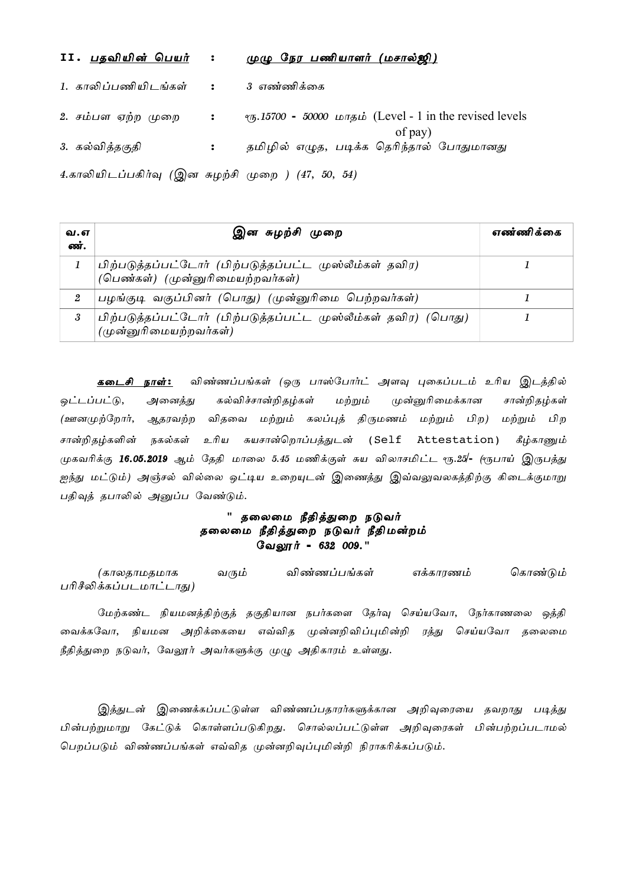| II. <u>பதவியின் பெயர்</u><br>$\cdot$               | <u>முழு நேர பணியாளர் (மசால்ஜி)</u>                                                    |
|----------------------------------------------------|---------------------------------------------------------------------------------------|
| 1. காலிப்பணியிடங்கள் :                             | 3 எண்ணிக்கை                                                                           |
| 2. சம்பள ஏற்ற முறை :                               | $\tau$ <sub>0</sub> ,15700 - 50000 илузий (Level - 1 in the revised levels<br>of pay) |
| 3. கல்வித்தகுதி<br>$\ddot{\cdot}$                  | தமிழில் எழுத, படிக்க தெரிந்தால் போதுமானது                                             |
| 4.காலியிடப்பகிர்வு (இன சுழற்சி முறை ) (47, 50, 54) |                                                                                       |

| வ.எ<br>ண். | இன சுழற்சி முறை                                                                             | எண்ணிக்கை |
|------------|---------------------------------------------------------------------------------------------|-----------|
|            | பிற்படுத்தப்பட்டோர் (பிற்படுத்தப்பட்ட முஸ்லீம்கள் தவிர)<br>(பெண்கள்) (முன்னுரிமையற்றவர்கள்) |           |
|            | பழங்குடி வகுப்பினர் (பொது) (முன்னுரிமை பெற்றவர்கள்)                                         |           |
| 3          | பிற்படுத்தப்பட்டோர் (பிற்படுத்தப்பட்ட முஸ்லீம்கள் தவிர) (பொது)<br>(முன்னுரிமையற்றவர்கள்)    |           |

<mark>கடைசி நாள்:</mark> விண்ணப்பங்கள் (ஒரு பாஸ்போர்ட் அளவு புகைப்படம் உரிய இடத்தில் ஒட்டப்பட்டு, அனைத்து கல்விச்சான்றிதழ்கள் மற்றும் முன்னுரிமைக்கான சான்றிதழ்கள் (ஊனமுற்றோர், ஆதரவற்ற விதவை மற்றும் கலப்புத் திருமணம் மற்றும் பிற) மற்றும் பிற சான்றிதழ்களின் நகல்கள் உரிய சுயசான்றொப்பத்துடன் (Self Attestation) கீழ்காணும் முகவரிக்கு 16.05.2019 ஆம் தேதி மாலை 5.45 மணிக்குள் சுய விலாசமிட்ட ரூ.25/- (ரூபாய் இருபத்து ஐந்து மட்டும்) அஞ்சல் வில்லை ஒட்டிய உறையுடன் இணைத்து இவ்வலுவலகத்திற்கு கிடைக்குமாறு பதிவுத் தபாலில் அனுப்ப வேண்டும்.

# " தலைமை நீதித்துறை நடுவர் தலைமை நீதித்துறை நடுவர் நீதிமன்றம் லேலூர் - 632 009."

(காலதாமதமாக வரும் விண்ணப்பங்கள் எக்காரணம் கொண்டும் பரிசீலிக்கப்படமாட்டாது)

மேற்கண்ட நியமனத்திற்குத் தகுதியான நபர்களை தேர்வு செய்யவோ, நேர்காணலை ஒத்தி வைக்கவோ, நியமன அறிக்கையை எவ்வித முன்னறிவிப்புமின்றி ரத்து செய்யவோ தலைமை நீதித்துறை நடுவர், வேலூர் அவர்களுக்கு முழு அதிகாரம் உள்ளது.

இத்துடன் இணைக்கப்பட்டுள்ள விண்ணப்பதாரர்களுக்கான அறிவுரையை தவறாது படித்து பின்பற்றுமாறு கேட்டுக் கொள்ளப்படுகிறது. சொல்லப்பட்டுள்ள அறிவுரைகள் பின்பற்றப்படாமல் பெறப்படும் விண்ணப்பங்கள் எவ்வித முன்னறிவுப்புமின்றி நிராகரிக்கப்படும்.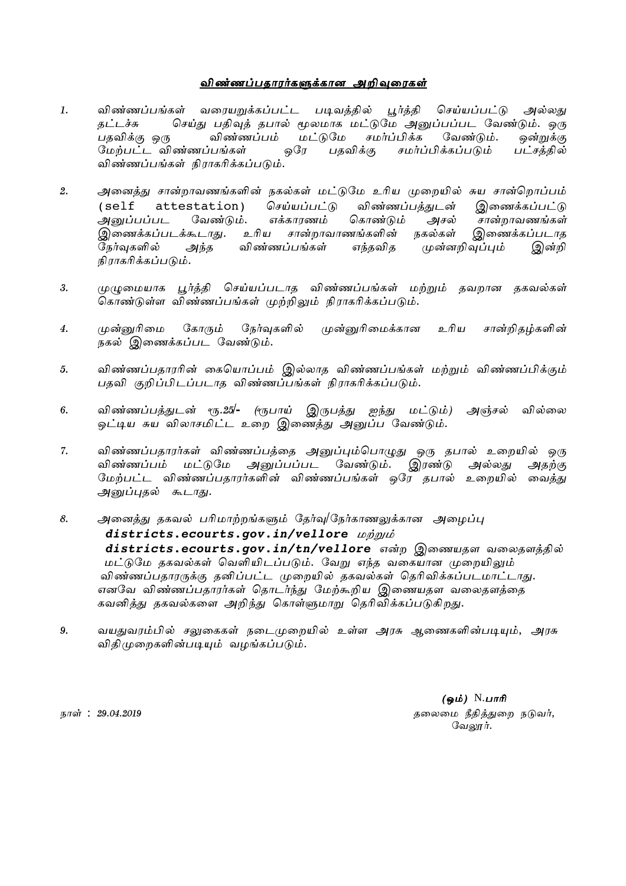## <u>விண்ணப்பதாரர்களுக்கான அறிவுரைகள்</u>

- 1. விண்ணப்பங்கள் வரையறுக்கப்பட்ட படிவத்தில் பூர்த்தி செய்யப்பட்டு அல்லது தட்டச்சு செய்து பதிவுத் தபால் மூலமாக மட்டுமே அனுப்பப்பட வேண்டும். ஒரு<br>பகவிக்கு ஒரு விண்ணப்பம் மட்டுமே சமர்ப்பிக்க வேண்டும். ஒன்றுக்கு விண்ணப்பம் மட்டுமே சமர்ப்பிக்க வேண்டும். ஒன்றுக்கு nkw;gl;l tpz;zg;g';fs; xnu gjtpf;F rkh;g;gpf;fg;gLk; gl;rj;jpy; விண்ணப்பங்கள் நிராகரிக்கப்படும்.
- 2. அனைத்து சான்றாவணங்களின் நகல்கள் மட்டுமே உரிய முறையில் சுய சான்றொப்பம் (self attestation) செய்யப்பட்டு விண்ணப்பத்துடன் இணைக்கப்பட்டு<br>அனுப்பப்பட வேண்டும். எக்காரணம் கொண்டும் அசல் சான்றாவணங்கள் அனுப்பப்பட வேண்டும். எக்காரணம் கொண்டும் அசல் சான்றாவணங்கள் இணைக்கப்படக்கூடாது. உரிய சான்றாவாணங்களின் நகல்கள் இணைக்கப்படாத  $\widetilde{\mathcal{G}}$ நர்வுகளில் அந்த விண்ணப்பங்கள் எந்தவித முன்னறிவுப்பும் இன்றி நிராகரிக்கப்படும்.
- 3. முழுமையாக பூர்த்தி செய்யப்படாத விண்ணப்பங்கள் மற்றும் தவறான தகவல்கள் கொண்டுள்ள விண்ணப்பங்கள் முற்றிலும் நிராகரிக்கப்படும்.
- 4. முன்னுரிமை கோரும் நேர்வுகளில் முன்னுரிமைக்கான உரிய சான்றிதழ்களின் நகல் இணைக்கப்பட வேண்டும்.
- 5. விண்ணப்பதாரரின் கையொப்பம் இல்லாத விண்ணப்பங்கள் மற்றும் விண்ணப்பிக்கும் பதவி குறிப்பிடப்படாத விண்ணப்பங்கள் நிராகரிக்கப்படும்.
- 6. விண்ணப்பத்துடன் ரூ.25/- (ரூபாய் இருபத்து ஐந்து மட்டும்) அஞ்சல் வில்லை <u>ஓட்டிய சுய விலாசமிட்ட உறை இணைத்து அனுப்ப வேண்டும்.</u>
- 7. விண்ணப்பதாரர்கள் விண்ணப்பத்தை அனுப்பும்பொழுது ஒரு தபால் உறையில் ஒரு விண்ணப்பம் மட்டுமே அனுப்பப்பட வேண்டும். இரண்டு அல்லது அதற்கு மேற்பட்ட விண்ணப்பதாரர்களின் விண்ணப்பங்கள் ஒரே தபால் உறையில் வைக்கு அனுப்புதல் கூடாது.
- 8. அனைத்து தகவல் பரிமாற்றங்களும் தேர்வு/நேர்காணலுக்கான அழைப்பு  $distritets.ecounts.gov.in/vellore$  *wimub* districts.ecourts.gov.in/tn/vellore என்ற இணையதள வலைதளத்தில் மட்டுமே தகவல்கள் வெளியிடப்படும். வேறு எந்த வகையான முறையிலும் விண்ணப்பதாரருக்கு தனிப்பட்ட முறையில் தகவல்கள் தெரிவிக்கப்படமாட்டாது. எனவே விண்ணப்பதாரர்கள் தொடர்ந்து மேற்கூறிய இணையதள வலைதளத்தை கவனித்து தகவல்களை அறிந்து கொள்ளுமாறு தெரிவிக்கப்படுகிறது.
- 9. வயதுவரம்பில் சலுகைகள் நடைமுறையில் உள்ள அரசு ஆணைகளின்படியும், அரசு விதிமுறைகளின்படியும் வழங்கப்படும்.

(ஒம்)  $N.\mu$ ாரி ehs; : 29/04/2019 jiyik ePjpj;Jiw eLth;. வேலூர்.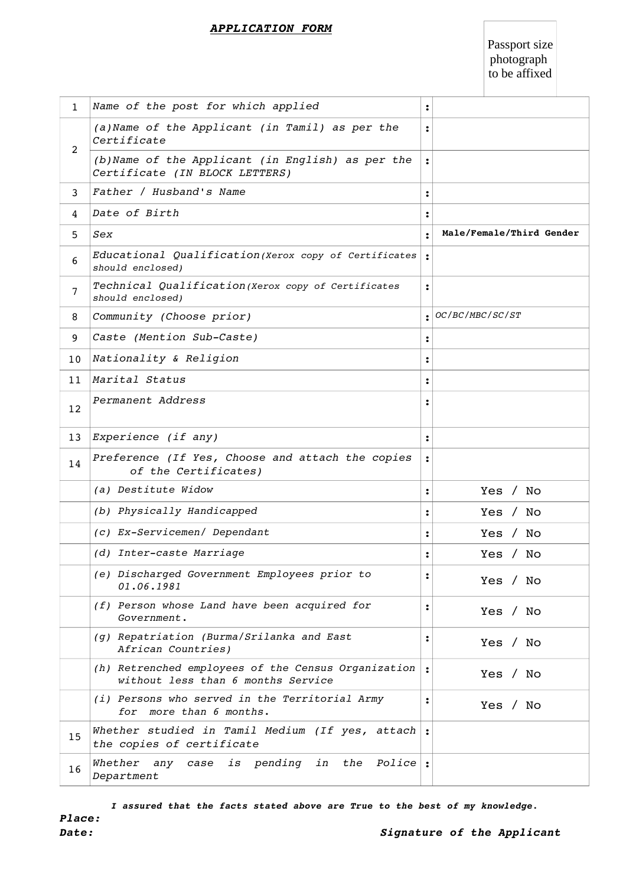#### *APPLICATION FORM*

Passport size photograph to be affixed

| $\mathbf{1}$   | Name of the post for which applied                                                        | $\ddot{\cdot}$ |                          |
|----------------|-------------------------------------------------------------------------------------------|----------------|--------------------------|
| 2              | (a) Name of the Applicant (in Tamil) as per the<br>Certificate                            |                |                          |
|                | (b) Name of the Applicant (in English) as per the<br>Certificate (IN BLOCK LETTERS)       |                |                          |
| 3              | Father / Husband's Name                                                                   |                |                          |
| 4              | Date of Birth                                                                             |                |                          |
| 5              | Sex                                                                                       |                | Male/Female/Third Gender |
| 6              | Educational Qualification (Xerox copy of Certificates<br>should enclosed)                 |                |                          |
| $\overline{7}$ | Technical Qualification (Xerox copy of Certificates<br>should enclosed)                   |                |                          |
| 8              | Community (Choose prior)                                                                  |                | OC/BC/MBC/SC/ST          |
| 9              | Caste (Mention Sub-Caste)                                                                 |                |                          |
| 10             | Nationality & Religion                                                                    |                |                          |
| 11             | Marital Status                                                                            |                |                          |
| 12             | Permanent Address                                                                         |                |                          |
| 13             | Experience (if any)                                                                       |                |                          |
| 14             | Preference (If Yes, Choose and attach the copies<br>of the Certificates)                  |                |                          |
|                | (a) Destitute Widow                                                                       | $\ddot{\cdot}$ | Yes / No                 |
|                | (b) Physically Handicapped                                                                |                | Yes / No                 |
|                | (c) Ex-Servicemen/ Dependant                                                              |                | Yes / No                 |
|                | (d) Inter-caste Marriage                                                                  |                | Yes / No                 |
|                | (e) Discharged Government Employees prior to<br>01.06.1981                                |                | Yes / No                 |
|                | (f) Person whose Land have been acquired for<br>Government.                               |                | Yes / No                 |
|                | (g) Repatriation (Burma/Srilanka and East<br>African Countries)                           |                | Yes / No                 |
|                | (h) Retrenched employees of the Census Organization<br>without less than 6 months Service |                | Yes / No                 |
|                | (i) Persons who served in the Territorial Army<br>more than 6 months.<br>for              |                | Yes / No                 |
| 15             | Whether studied in Tamil Medium (If yes, attach<br>the copies of certificate              |                |                          |
| 16             | Whether<br>case is pending in the Police:<br>any<br>Department                            |                |                          |

 *I assured that the facts stated above are True to the best of my knowledge.*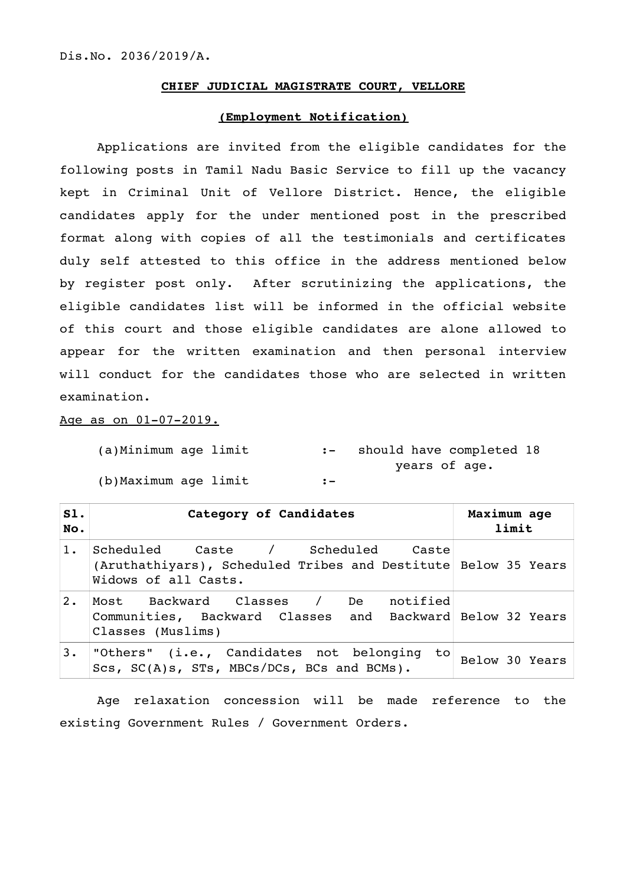#### **CHIEF JUDICIAL MAGISTRATE COURT, VELLORE**

### **(Employment Notification)**

Applications are invited from the eligible candidates for the following posts in Tamil Nadu Basic Service to fill up the vacancy kept in Criminal Unit of Vellore District. Hence, the eligible candidates apply for the under mentioned post in the prescribed format along with copies of all the testimonials and certificates duly self attested to this office in the address mentioned below by register post only. After scrutinizing the applications, the eligible candidates list will be informed in the official website of this court and those eligible candidates are alone allowed to appear for the written examination and then personal interview will conduct for the candidates those who are selected in written examination.

Age as on  $01-07-2019$ .

(a)Minimum age limit :- should have completed 18 years of age. (b)Maximum age limit :-

| SI.<br>No. | Category of Candidates                                                                                                      | Maximum age<br>limit |
|------------|-----------------------------------------------------------------------------------------------------------------------------|----------------------|
| 1.         | Scheduled Caste / Scheduled Caste<br>(Aruthathiyars), Scheduled Tribes and Destitute Below 35 Years<br>Widows of all Casts. |                      |
| $2$ .      | Most Backward Classes / De notified<br>Communities, Backward Classes and Backward Below 32 Years<br>Classes (Muslims)       |                      |
| 3.         | "Others" (i.e., Candidates not belonging<br>to  <br>Scs, SC(A)s, STs, MBCs/DCs, BCs and BCMs).                              | Below 30 Years       |

Age relaxation concession will be made reference to the existing Government Rules / Government Orders.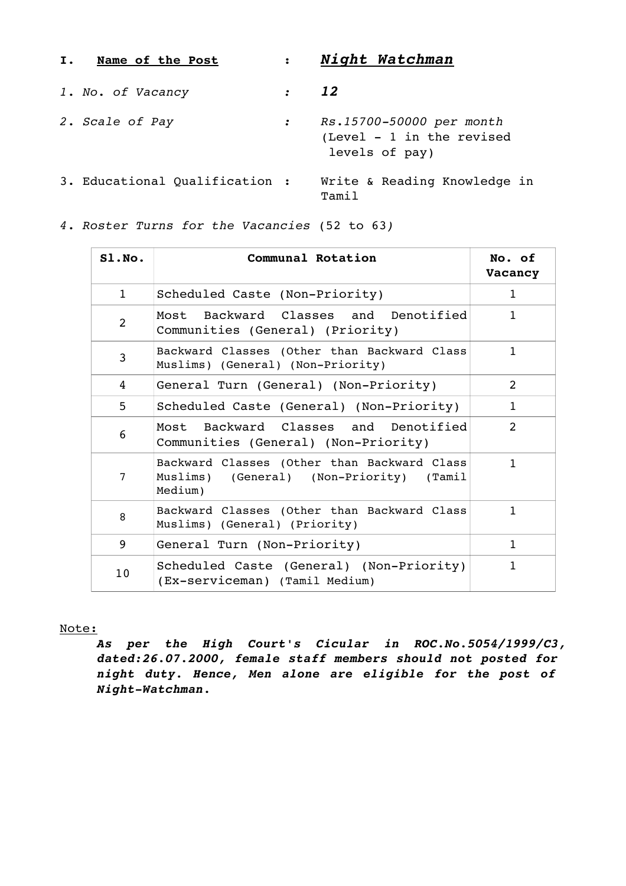| I. | <b>Name of the Post</b>        | $\mathbf{L}$    | Night Watchman                                                             |
|----|--------------------------------|-----------------|----------------------------------------------------------------------------|
|    | 1. No. of Vacancy              | $\therefore$ 12 |                                                                            |
|    | 2. Scale of Pay                | $\mathcal{L}$   | Rs.15700-50000 per month<br>$(Level - 1 in the revised)$<br>levels of pay) |
|    | 3. Educational Qualification : |                 | Write & Reading Knowledge in<br>Tamil                                      |

*4. Roster Turns for the Vacancies* (52 to 63*)*

| SLNO.           | Communal Rotation                                                                                  | No. of<br>Vacancy |
|-----------------|----------------------------------------------------------------------------------------------------|-------------------|
| $\mathbf{1}$    | Scheduled Caste (Non-Priority)                                                                     | $\mathbf{1}$      |
| 2               | Most Backward Classes and Denotified<br>Communities (General) (Priority)                           | $\mathbf{1}$      |
| 3               | Backward Classes (Other than Backward Class<br>Muslims) (General) (Non-Priority)                   | $\mathbf{1}$      |
| 4               | General Turn (General) (Non-Priority)                                                              | 2                 |
| 5               | Scheduled Caste (General) (Non-Priority)                                                           | $\mathbf{1}$      |
| 6               | Most Backward Classes and Denotified<br>Communities (General) (Non-Priority)                       | $\mathcal{L}$     |
| 7               | Backward Classes (Other than Backward Class<br>Muslims) (General) (Non-Priority) (Tamil<br>Medium) | $\mathbf{1}$      |
| 8               | Backward Classes (Other than Backward Class<br>Muslims) (General) (Priority)                       | $\mathbf{1}$      |
| 9               | General Turn (Non-Priority)                                                                        | $\mathbf{1}$      |
| 10 <sup>°</sup> | Scheduled Caste (General) (Non-Priority)<br>(Ex-serviceman) (Tamil Medium)                         | $\mathbf{1}$      |

Note:

*As per the High Court's Cicular in ROC.No.5054/1999/C3, dated:26.07.2000, female staff members should not posted for night duty. Hence, Men alone are eligible for the post of*   $Night-Watchman.$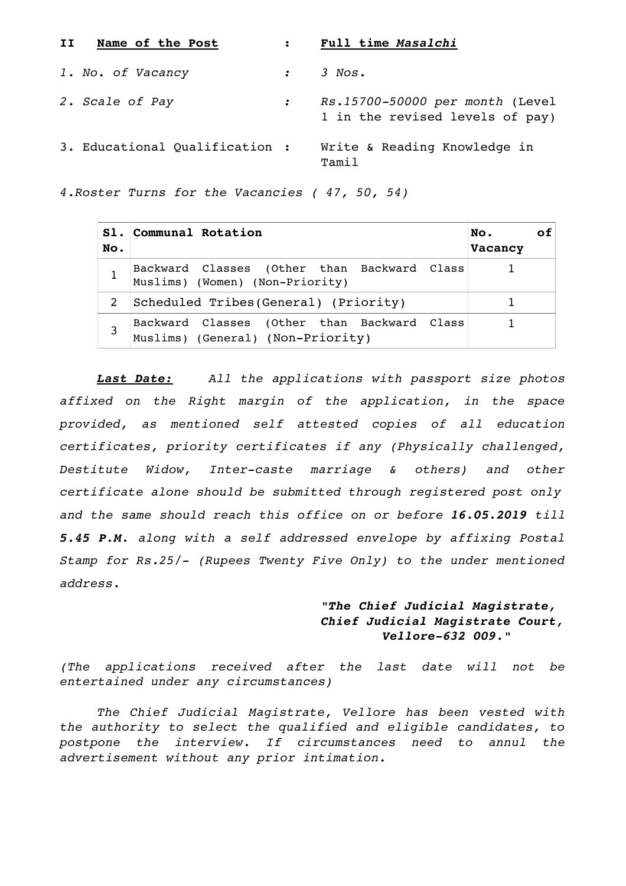| II | Name of the Post               |               | Full time Masalchi                                                 |
|----|--------------------------------|---------------|--------------------------------------------------------------------|
|    | 1. No. of Vacancy              | $\mathcal{L}$ | 3 Nos.                                                             |
|    | 2. Scale of Pay                |               | Rs.15700-50000 per month (Level<br>1 in the revised levels of pay) |
|    | 3. Educational Qualification : |               | Write & Reading Knowledge in<br>Tamil                              |

*4.Roster Turns for the Vacancies ( 47, 50, 54)*

| No. | S1. Communal Rotation                                                            | No.<br>ΩŤ<br>Vacancy |
|-----|----------------------------------------------------------------------------------|----------------------|
|     | Backward Classes (Other than Backward Class<br>Muslims) (Women) (Non-Priority)   |                      |
|     | Scheduled Tribes(General) (Priority)                                             |                      |
| 3   | Backward Classes (Other than Backward Class<br>Muslims) (General) (Non-Priority) |                      |

*Last Date: All the applications with passport size photos affixed on the Right margin of the application, in the space provided, as mentioned self attested copies of all education certificates, priority certificates if any (Physically challenged, Destitute Widow, Inter-caste marriage & others) and other certificate alone should be submitted through registered post only and the same should reach this office on or before 16.05.2019 till 5.45 P.M. along with a self addressed envelope by affixing Postal Stamp for Rs.25/ (Rupees Twenty Five Only) to the under mentioned address.*

# *"The Chief Judicial Magistrate, Chief Judicial Magistrate Court, vellore-632 009."*

*(The applications received after the last date will not be entertained under any circumstances)*

*The Chief Judicial Magistrate, Vellore has been vested with the authority to select the qualified and eligible candidates, to postpone the interview. If circumstances need to annul the advertisement without any prior intimation.*